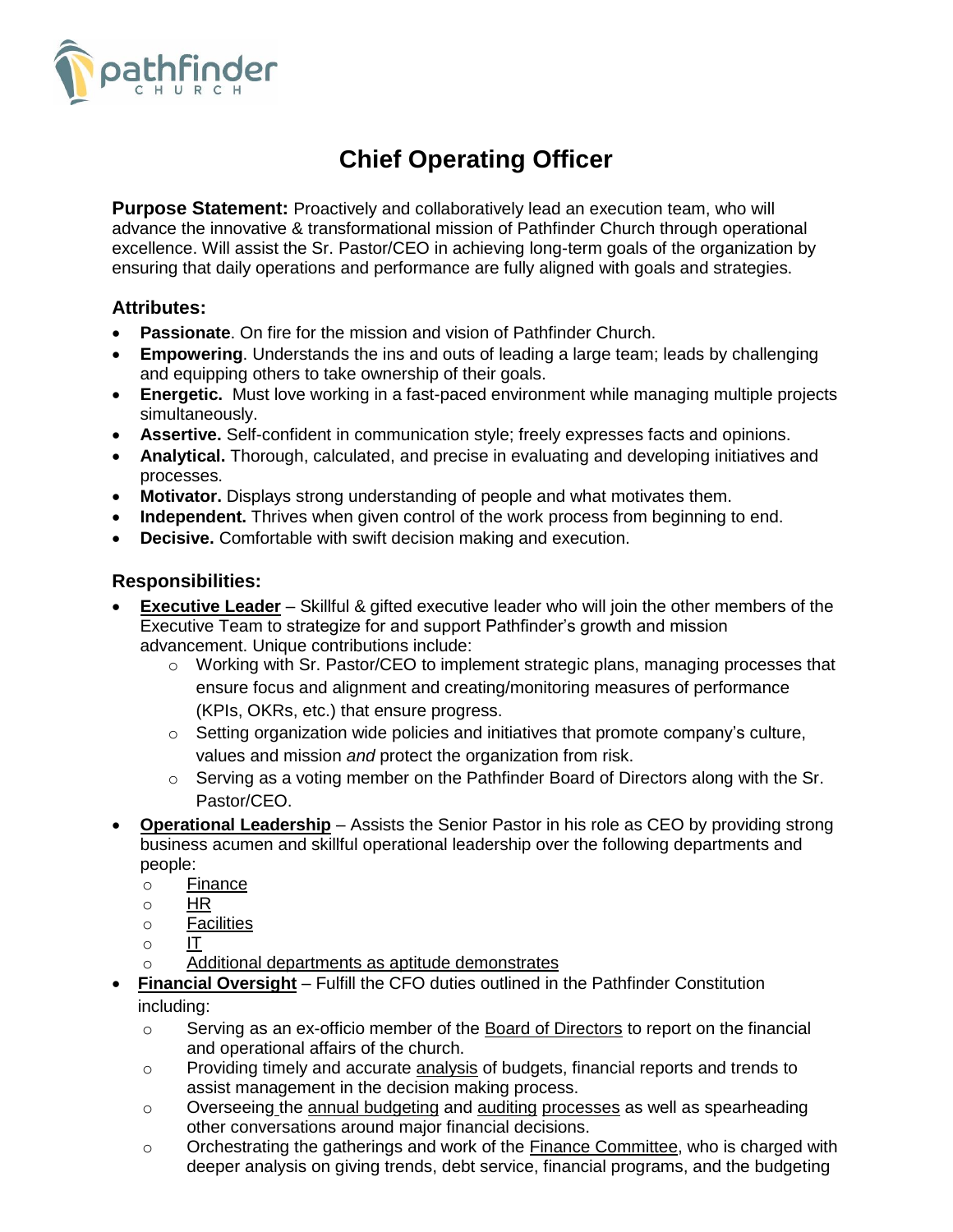

# **Chief Operating Officer**

**Purpose Statement:** Proactively and collaboratively lead an execution team, who will advance the innovative & transformational mission of Pathfinder Church through operational excellence. Will assist the Sr. Pastor/CEO in achieving long-term goals of the organization by ensuring that daily operations and performance are fully aligned with goals and strategies.

### **Attributes:**

- **Passionate**. On fire for the mission and vision of Pathfinder Church.
- **Empowering**. Understands the ins and outs of leading a large team; leads by challenging and equipping others to take ownership of their goals.
- **Energetic.** Must love working in a fast-paced environment while managing multiple projects simultaneously.
- **Assertive.** Self-confident in communication style; freely expresses facts and opinions.
- **Analytical.** Thorough, calculated, and precise in evaluating and developing initiatives and processes.
- **Motivator.** Displays strong understanding of people and what motivates them.
- **Independent.** Thrives when given control of the work process from beginning to end.
- **Decisive.** Comfortable with swift decision making and execution.

## **Responsibilities:**

- **Executive Leader** Skillful & gifted executive leader who will join the other members of the Executive Team to strategize for and support Pathfinder's growth and mission advancement. Unique contributions include:
	- o Working with Sr. Pastor/CEO to implement strategic plans, managing processes that ensure focus and alignment and creating/monitoring measures of performance (KPIs, OKRs, etc.) that ensure progress.
	- $\circ$  Setting organization wide policies and initiatives that promote company's culture, values and mission *and* protect the organization from risk.
	- o Serving as a voting member on the Pathfinder Board of Directors along with the Sr. Pastor/CEO.
- **Operational Leadership** Assists the Senior Pastor in his role as CEO by providing strong business acumen and skillful operational leadership over the following departments and people:
	- o Finance
	- o HR
	- o Facilities
	- o IT
	- o Additional departments as aptitude demonstrates
- **Financial Oversight** Fulfill the CFO duties outlined in the Pathfinder Constitution including:
	- $\circ$  Serving as an ex-officio member of the Board of Directors to report on the financial and operational affairs of the church.
	- o Providing timely and accurate analysis of budgets, financial reports and trends to assist management in the decision making process.
	- $\circ$  Overseeing the annual budgeting and auditing processes as well as spearheading other conversations around major financial decisions.
	- o Orchestrating the gatherings and work of the Finance Committee, who is charged with deeper analysis on giving trends, debt service, financial programs, and the budgeting